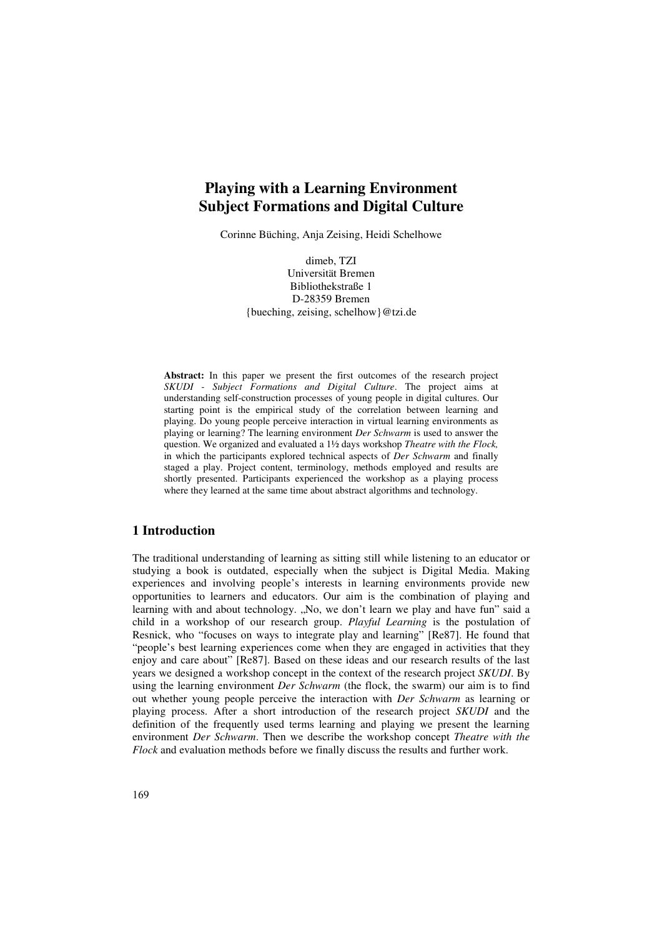# **Playing with a Learning Environment Subject Formations and Digital Culture**

Corinne Büching, Anja Zeising, Heidi Schelhowe

dimeb, TZI Universität Bremen Bibliothekstraße 1 D-28359 Bremen {bueching, zeising, schelhow}@tzi.de

**Abstract:** In this paper we present the first outcomes of the research project *SKUDI - Subject Formations and Digital Culture*. The project aims at understanding self-construction processes of young people in digital cultures. Our starting point is the empirical study of the correlation between learning and playing. Do young people perceive interaction in virtual learning environments as playing or learning? The learning environment *Der Schwarm* is used to answer the question. We organized and evaluated a 1½ days workshop *Theatre with the Flock,*  in which the participants explored technical aspects of *Der Schwarm* and finally staged a play. Project content, terminology, methods employed and results are shortly presented. Participants experienced the workshop as a playing process where they learned at the same time about abstract algorithms and technology.

## **1 Introduction**

The traditional understanding of learning as sitting still while listening to an educator or studying a book is outdated, especially when the subject is Digital Media. Making experiences and involving people's interests in learning environments provide new opportunities to learners and educators. Our aim is the combination of playing and learning with and about technology. "No, we don't learn we play and have fun" said a child in a workshop of our research group. *Playful Learning* is the postulation of Resnick, who "focuses on ways to integrate play and learning" [Re87]. He found that "people's best learning experiences come when they are engaged in activities that they enjoy and care about" [Re87]. Based on these ideas and our research results of the last years we designed a workshop concept in the context of the research project *SKUDI*. By using the learning environment *Der Schwarm* (the flock, the swarm) our aim is to find out whether young people perceive the interaction with *Der Schwarm* as learning or playing process. After a short introduction of the research project *SKUDI* and the definition of the frequently used terms learning and playing we present the learning environment *Der Schwarm*. Then we describe the workshop concept *Theatre with the Flock* and evaluation methods before we finally discuss the results and further work.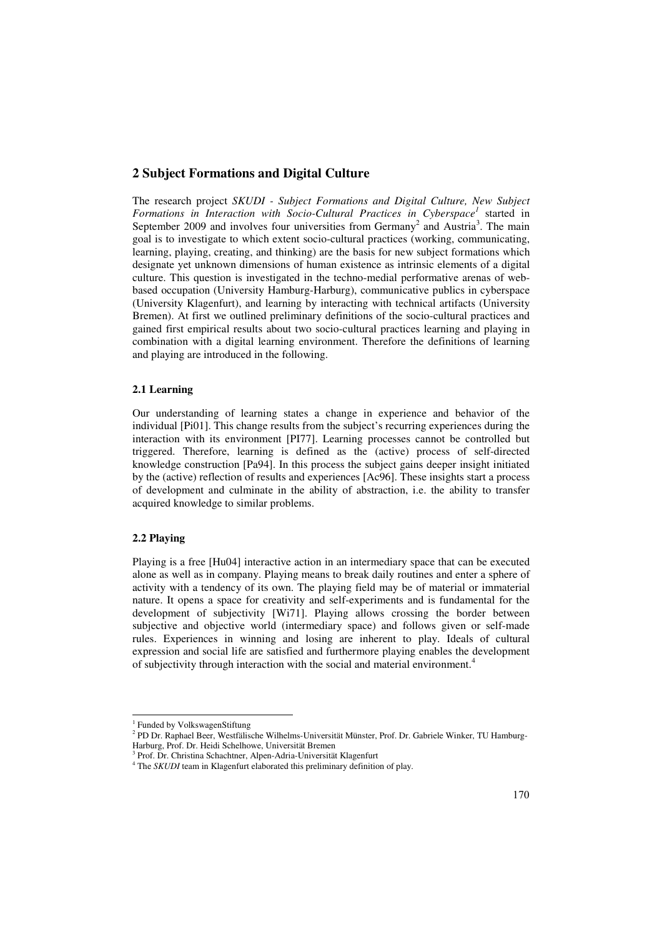## **2 Subject Formations and Digital Culture**

The research project *SKUDI - Subject Formations and Digital Culture, New Subject*  Formations in Interaction with Socio-Cultural Practices in Cyberspace<sup>1</sup> started in September 2009 and involves four universities from Germany<sup>2</sup> and Austria<sup>3</sup>. The main goal is to investigate to which extent socio-cultural practices (working, communicating, learning, playing, creating, and thinking) are the basis for new subject formations which designate yet unknown dimensions of human existence as intrinsic elements of a digital culture. This question is investigated in the techno-medial performative arenas of webbased occupation (University Hamburg-Harburg), communicative publics in cyberspace (University Klagenfurt), and learning by interacting with technical artifacts (University Bremen). At first we outlined preliminary definitions of the socio-cultural practices and gained first empirical results about two socio-cultural practices learning and playing in combination with a digital learning environment. Therefore the definitions of learning and playing are introduced in the following.

#### **2.1 Learning**

Our understanding of learning states a change in experience and behavior of the individual [Pi01]. This change results from the subject's recurring experiences during the interaction with its environment [PI77]. Learning processes cannot be controlled but triggered. Therefore, learning is defined as the (active) process of self-directed knowledge construction [Pa94]. In this process the subject gains deeper insight initiated by the (active) reflection of results and experiences [Ac96]. These insights start a process of development and culminate in the ability of abstraction, i.e. the ability to transfer acquired knowledge to similar problems.

#### **2.2 Playing**

j

Playing is a free [Hu04] interactive action in an intermediary space that can be executed alone as well as in company. Playing means to break daily routines and enter a sphere of activity with a tendency of its own. The playing field may be of material or immaterial nature. It opens a space for creativity and self-experiments and is fundamental for the development of subjectivity [Wi71]. Playing allows crossing the border between subjective and objective world (intermediary space) and follows given or self-made rules. Experiences in winning and losing are inherent to play. Ideals of cultural expression and social life are satisfied and furthermore playing enables the development of subjectivity through interaction with the social and material environment.<sup>4</sup>

<sup>&</sup>lt;sup>1</sup> Funded by VolkswagenStiftung

<sup>2</sup> PD Dr. Raphael Beer, Westfälische Wilhelms-Universität Münster, Prof. Dr. Gabriele Winker, TU Hamburg-Harburg, Prof. Dr. Heidi Schelhowe, Universität Bremen

<sup>3</sup> Prof. Dr. Christina Schachtner, Alpen-Adria-Universität Klagenfurt

<sup>&</sup>lt;sup>4</sup> The *SKUDI* team in Klagenfurt elaborated this preliminary definition of play.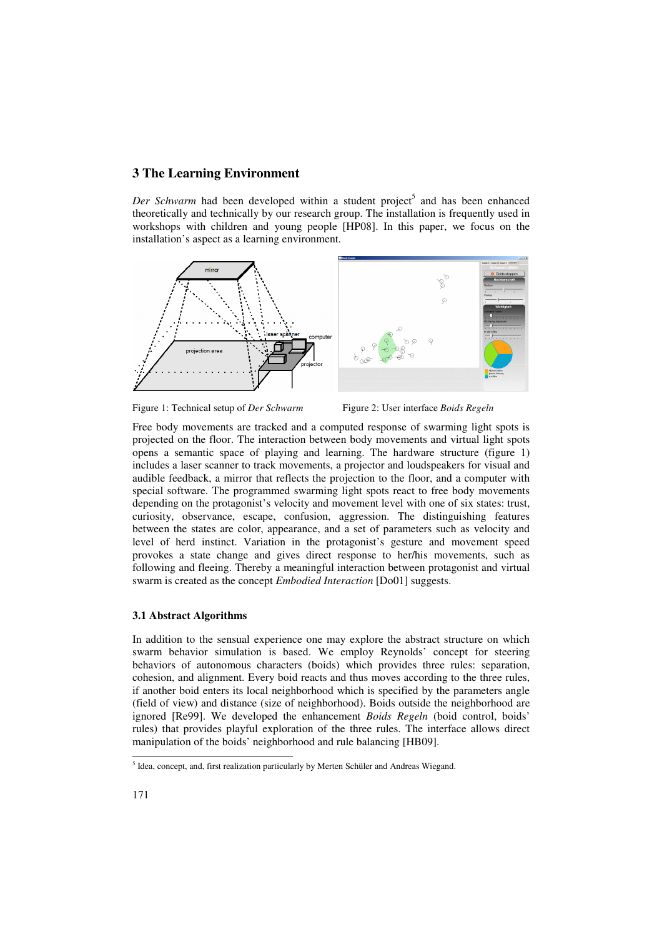# **3 The Learning Environment**

Der Schwarm had been developed within a student project<sup>5</sup> and has been enhanced theoretically and technically by our research group. The installation is frequently used in workshops with children and young people [HP08]. In this paper, we focus on the installation's aspect as a learning environment.



Figure 1: Technical setup of *Der Schwarm* Figure 2: User interface *Boids Regeln* 

Free body movements are tracked and a computed response of swarming light spots is projected on the floor. The interaction between body movements and virtual light spots opens a semantic space of playing and learning. The hardware structure (figure 1) includes a laser scanner to track movements, a projector and loudspeakers for visual and audible feedback, a mirror that reflects the projection to the floor, and a computer with special software. The programmed swarming light spots react to free body movements depending on the protagonist's velocity and movement level with one of six states: trust, curiosity, observance, escape, confusion, aggression. The distinguishing features between the states are color, appearance, and a set of parameters such as velocity and level of herd instinct. Variation in the protagonist's gesture and movement speed provokes a state change and gives direct response to her/his movements, such as following and fleeing. Thereby a meaningful interaction between protagonist and virtual swarm is created as the concept *Embodied Interaction* [Do01] suggests.

#### **3.1 Abstract Algorithms**

In addition to the sensual experience one may explore the abstract structure on which swarm behavior simulation is based. We employ Reynolds' concept for steering behaviors of autonomous characters (boids) which provides three rules: separation, cohesion, and alignment. Every boid reacts and thus moves according to the three rules, if another boid enters its local neighborhood which is specified by the parameters angle (field of view) and distance (size of neighborhood). Boids outside the neighborhood are ignored [Re99]. We developed the enhancement *Boids Regeln* (boid control, boids' rules) that provides playful exploration of the three rules. The interface allows direct manipulation of the boids' neighborhood and rule balancing [HB09].

-

<sup>&</sup>lt;sup>5</sup> Idea, concept, and, first realization particularly by Merten Schüler and Andreas Wiegand.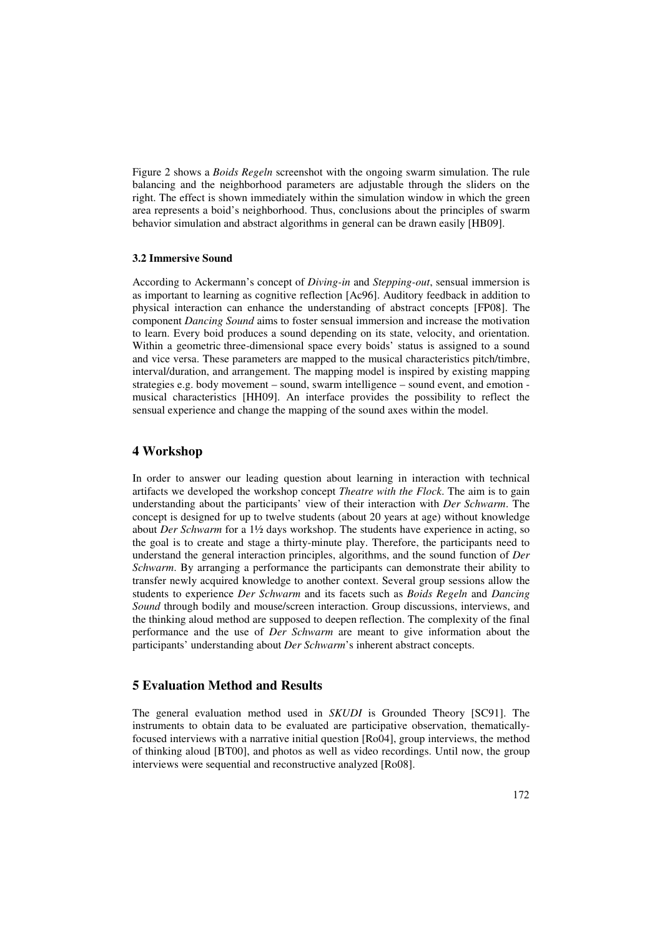Figure 2 shows a *Boids Regeln* screenshot with the ongoing swarm simulation. The rule balancing and the neighborhood parameters are adjustable through the sliders on the right. The effect is shown immediately within the simulation window in which the green area represents a boid's neighborhood. Thus, conclusions about the principles of swarm behavior simulation and abstract algorithms in general can be drawn easily [HB09].

#### **3.2 Immersive Sound**

According to Ackermann's concept of *Diving-in* and *Stepping-out*, sensual immersion is as important to learning as cognitive reflection [Ac96]. Auditory feedback in addition to physical interaction can enhance the understanding of abstract concepts [FP08]. The component *Dancing Sound* aims to foster sensual immersion and increase the motivation to learn. Every boid produces a sound depending on its state, velocity, and orientation. Within a geometric three-dimensional space every boids' status is assigned to a sound and vice versa. These parameters are mapped to the musical characteristics pitch/timbre, interval/duration, and arrangement. The mapping model is inspired by existing mapping strategies e.g. body movement – sound, swarm intelligence – sound event, and emotion musical characteristics [HH09]. An interface provides the possibility to reflect the sensual experience and change the mapping of the sound axes within the model.

## **4 Workshop**

In order to answer our leading question about learning in interaction with technical artifacts we developed the workshop concept *Theatre with the Flock*. The aim is to gain understanding about the participants' view of their interaction with *Der Schwarm*. The concept is designed for up to twelve students (about 20 years at age) without knowledge about *Der Schwarm* for a 1½ days workshop. The students have experience in acting, so the goal is to create and stage a thirty-minute play. Therefore, the participants need to understand the general interaction principles, algorithms, and the sound function of *Der Schwarm*. By arranging a performance the participants can demonstrate their ability to transfer newly acquired knowledge to another context. Several group sessions allow the students to experience *Der Schwarm* and its facets such as *Boids Regeln* and *Dancing Sound* through bodily and mouse/screen interaction. Group discussions, interviews, and the thinking aloud method are supposed to deepen reflection. The complexity of the final performance and the use of *Der Schwarm* are meant to give information about the participants' understanding about *Der Schwarm*'s inherent abstract concepts.

# **5 Evaluation Method and Results**

The general evaluation method used in *SKUDI* is Grounded Theory [SC91]. The instruments to obtain data to be evaluated are participative observation, thematicallyfocused interviews with a narrative initial question [Ro04], group interviews, the method of thinking aloud [BT00], and photos as well as video recordings. Until now, the group interviews were sequential and reconstructive analyzed [Ro08].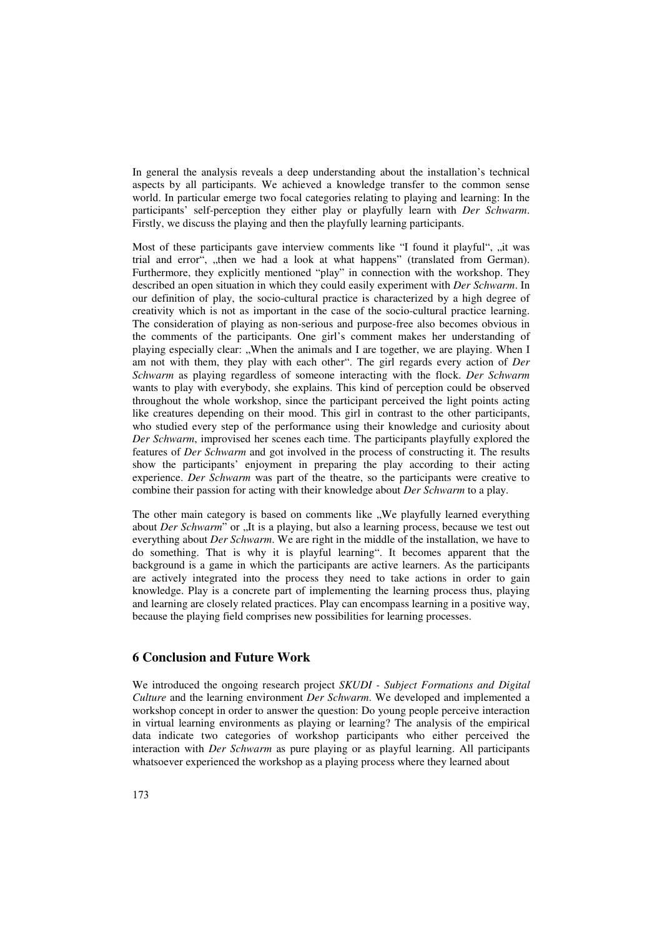In general the analysis reveals a deep understanding about the installation's technical aspects by all participants. We achieved a knowledge transfer to the common sense world. In particular emerge two focal categories relating to playing and learning: In the participants' self-perception they either play or playfully learn with *Der Schwarm*. Firstly, we discuss the playing and then the playfully learning participants.

Most of these participants gave interview comments like "I found it playful", "it was trial and error", "then we had a look at what happens" (translated from German). Furthermore, they explicitly mentioned "play" in connection with the workshop. They described an open situation in which they could easily experiment with *Der Schwarm*. In our definition of play, the socio-cultural practice is characterized by a high degree of creativity which is not as important in the case of the socio-cultural practice learning. The consideration of playing as non-serious and purpose-free also becomes obvious in the comments of the participants. One girl's comment makes her understanding of playing especially clear:  $\mathbf{W}$  When the animals and I are together, we are playing. When I am not with them, they play with each other". The girl regards every action of *Der Schwarm* as playing regardless of someone interacting with the flock. *Der Schwarm* wants to play with everybody, she explains. This kind of perception could be observed throughout the whole workshop, since the participant perceived the light points acting like creatures depending on their mood. This girl in contrast to the other participants, who studied every step of the performance using their knowledge and curiosity about *Der Schwarm*, improvised her scenes each time. The participants playfully explored the features of *Der Schwarm* and got involved in the process of constructing it. The results show the participants' enjoyment in preparing the play according to their acting experience. *Der Schwarm* was part of the theatre, so the participants were creative to combine their passion for acting with their knowledge about *Der Schwarm* to a play.

The other main category is based on comments like "We playfully learned everything about *Der Schwarm*" or "It is a playing, but also a learning process, because we test out everything about *Der Schwarm*. We are right in the middle of the installation, we have to do something. That is why it is playful learning". It becomes apparent that the background is a game in which the participants are active learners. As the participants are actively integrated into the process they need to take actions in order to gain knowledge. Play is a concrete part of implementing the learning process thus, playing and learning are closely related practices. Play can encompass learning in a positive way, because the playing field comprises new possibilities for learning processes.

### **6 Conclusion and Future Work**

We introduced the ongoing research project *SKUDI - Subject Formations and Digital Culture* and the learning environment *Der Schwarm*. We developed and implemented a workshop concept in order to answer the question: Do young people perceive interaction in virtual learning environments as playing or learning? The analysis of the empirical data indicate two categories of workshop participants who either perceived the interaction with *Der Schwarm* as pure playing or as playful learning. All participants whatsoever experienced the workshop as a playing process where they learned about